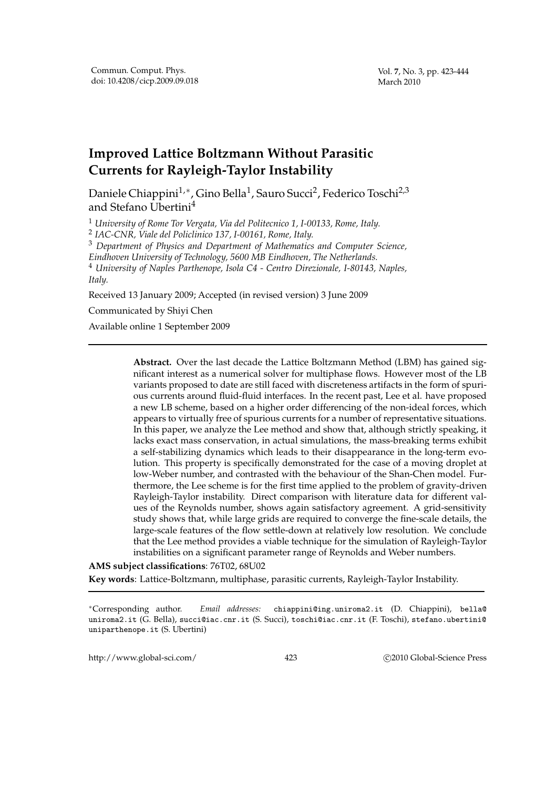## **Improved Lattice Boltzmann Without Parasitic Currents for Rayleigh-Taylor Instability**

Daniele Chiappini<sup>1,</sup>\*, Gino Bella<sup>1</sup>, Sauro Succi<sup>2</sup>, Federico Toschi<sup>2,3</sup> and Stefano Ubertini<sup>4</sup>

<sup>1</sup> *University of Rome Tor Vergata, Via del Politecnico 1, I-00133, Rome, Italy.*

2 *IAC-CNR, Viale del Policlinico 137, I-00161, Rome, Italy.*

<sup>3</sup> *Department of Physics and Department of Mathematics and Computer Science,*

*Eindhoven University of Technology, 5600 MB Eindhoven, The Netherlands.* <sup>4</sup> *University of Naples Parthenope, Isola C4 - Centro Direzionale, I-80143, Naples, Italy.*

Received 13 January 2009; Accepted (in revised version) 3 June 2009

Communicated by Shiyi Chen

Available online 1 September 2009

**Abstract.** Over the last decade the Lattice Boltzmann Method (LBM) has gained significant interest as a numerical solver for multiphase flows. However most of the LB variants proposed to date are still faced with discreteness artifacts in the form of spurious currents around fluid-fluid interfaces. In the recent past, Lee et al. have proposed a new LB scheme, based on a higher order differencing of the non-ideal forces, which appears to virtually free of spurious currents for a number of representative situations. In this paper, we analyze the Lee method and show that, although strictly speaking, it lacks exact mass conservation, in actual simulations, the mass-breaking terms exhibit a self-stabilizing dynamics which leads to their disappearance in the long-term evolution. This property is specifically demonstrated for the case of a moving droplet at low-Weber number, and contrasted with the behaviour of the Shan-Chen model. Furthermore, the Lee scheme is for the first time applied to the problem of gravity-driven Rayleigh-Taylor instability. Direct comparison with literature data for different values of the Reynolds number, shows again satisfactory agreement. A grid-sensitivity study shows that, while large grids are required to converge the fine-scale details, the large-scale features of the flow settle-down at relatively low resolution. We conclude that the Lee method provides a viable technique for the simulation of Rayleigh-Taylor instabilities on a significant parameter range of Reynolds and Weber numbers.

## **AMS subject classifications**: 76T02, 68U02

**Key words**: Lattice-Boltzmann, multiphase, parasitic currents, Rayleigh-Taylor Instability.

<sup>∗</sup>Corresponding author. *Email addresses:* chiappini@ing.uniroma2.it (D. Chiappini), bella@ uniroma2.it (G. Bella), succi@iac.cnr.it (S. Succi), toschi@iac.cnr.it (F. Toschi), stefano.ubertini@ uniparthenope.it (S. Ubertini)

http://www.global-sci.com/ 423 c 2010 Global-Science Press